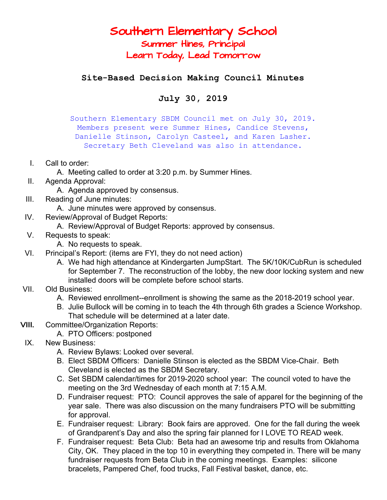## Southern Elementary School Summer Hines, Principal Learn Today, Lead Tomorrow

**Site-Based Decision Making Council Minutes**

## **July 30, 2019**

Southern Elementary SBDM Council met on July 30, 2019. Members present were Summer Hines, Candice Stevens, Danielle Stinson, Carolyn Casteel, and Karen Lasher. Secretary Beth Cleveland was also in attendance.

- I. Call to order:
	- A. Meeting called to order at 3:20 p.m. by Summer Hines.
- II. Agenda Approval:

A. Agenda approved by consensus.

- III. Reading of June minutes:
	- A. June minutes were approved by consensus.
- IV. Review/Approval of Budget Reports:
	- A. Review/Approval of Budget Reports: approved by consensus.
- V. Requests to speak:
	- A. No requests to speak.
- VI. Principal's Report: (items are FYI, they do not need action)
	- A. We had high attendance at Kindergarten JumpStart. The 5K/10K/CubRun is scheduled for September 7. The reconstruction of the lobby, the new door locking system and new installed doors will be complete before school starts.
- VII. Old Business:
	- A. Reviewed enrollment--enrollment is showing the same as the 2018-2019 school year.
	- B. Julie Bullock will be coming in to teach the 4th through 6th grades a Science Workshop. That schedule will be determined at a later date.
- **VIII.** Committee/Organization Reports:
	- A. PTO Officers: postponed
- IX. New Business:
	- A. Review Bylaws: Looked over several.
	- B. Elect SBDM Officers: Danielle Stinson is elected as the SBDM Vice-Chair. Beth Cleveland is elected as the SBDM Secretary.
	- C. Set SBDM calendar/times for 2019-2020 school year: The council voted to have the meeting on the 3rd Wednesday of each month at 7:15 A.M.
	- D. Fundraiser request: PTO: Council approves the sale of apparel for the beginning of the year sale. There was also discussion on the many fundraisers PTO will be submitting for approval.
	- E. Fundraiser request: Library: Book fairs are approved. One for the fall during the week of Grandparent's Day and also the spring fair planned for I LOVE TO READ week.
	- F. Fundraiser request: Beta Club: Beta had an awesome trip and results from Oklahoma City, OK. They placed in the top 10 in everything they competed in. There will be many fundraiser requests from Beta Club in the coming meetings. Examples: silicone bracelets, Pampered Chef, food trucks, Fall Festival basket, dance, etc.